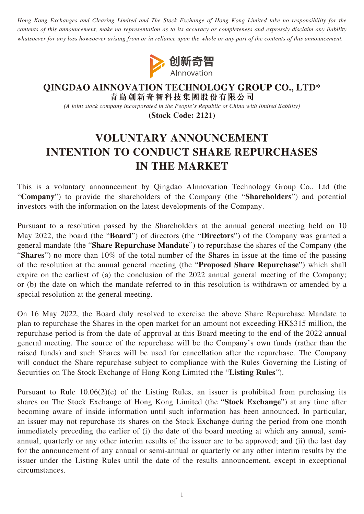*Hong Kong Exchanges and Clearing Limited and The Stock Exchange of Hong Kong Limited take no responsibility for the contents of this announcement, make no representation as to its accuracy or completeness and expressly disclaim any liability whatsoever for any loss howsoever arising from or in reliance upon the whole or any part of the contents of this announcement.*



## **QINGDAO AINNOVATION TECHNOLOGY GROUP CO., LTD\* 青島創新奇智科技集團股份有限公司**

*(A joint stock company incorporated in the People's Republic of China with limited liability)*

**(Stock Code: 2121)**

## **VOLUNTARY ANNOUNCEMENT INTENTION TO CONDUCT SHARE REPURCHASES IN THE MARKET**

This is a voluntary announcement by Qingdao AInnovation Technology Group Co., Ltd (the "**Company**") to provide the shareholders of the Company (the "**Shareholders**") and potential investors with the information on the latest developments of the Company.

Pursuant to a resolution passed by the Shareholders at the annual general meeting held on 10 May 2022, the board (the "**Board**") of directors (the "**Directors**") of the Company was granted a general mandate (the "**Share Repurchase Mandate**") to repurchase the shares of the Company (the "**Shares**") no more than 10% of the total number of the Shares in issue at the time of the passing of the resolution at the annual general meeting (the "**Proposed Share Repurchase**") which shall expire on the earliest of (a) the conclusion of the 2022 annual general meeting of the Company; or (b) the date on which the mandate referred to in this resolution is withdrawn or amended by a special resolution at the general meeting.

On 16 May 2022, the Board duly resolved to exercise the above Share Repurchase Mandate to plan to repurchase the Shares in the open market for an amount not exceeding HK\$315 million, the repurchase period is from the date of approval at this Board meeting to the end of the 2022 annual general meeting. The source of the repurchase will be the Company's own funds (rather than the raised funds) and such Shares will be used for cancellation after the repurchase. The Company will conduct the Share repurchase subject to compliance with the Rules Governing the Listing of Securities on The Stock Exchange of Hong Kong Limited (the "**Listing Rules**").

Pursuant to Rule 10.06(2)(e) of the Listing Rules, an issuer is prohibited from purchasing its shares on The Stock Exchange of Hong Kong Limited (the "**Stock Exchange**") at any time after becoming aware of inside information until such information has been announced. In particular, an issuer may not repurchase its shares on the Stock Exchange during the period from one month immediately preceding the earlier of (i) the date of the board meeting at which any annual, semiannual, quarterly or any other interim results of the issuer are to be approved; and (ii) the last day for the announcement of any annual or semi-annual or quarterly or any other interim results by the issuer under the Listing Rules until the date of the results announcement, except in exceptional circumstances.